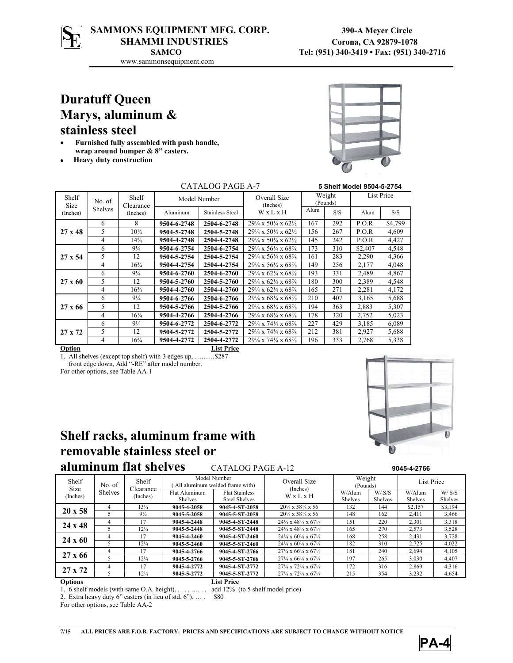# SAMMONS EQUIPMENT MFG. CORP. 390-A Meyer Circle SHAMMI INDUSTRIES Corona, CA 92879-1078

www.sammonsequipment.com

# **Duratuff Queen Marys, aluminum & stainless steel**

- **Furnished fully assembled with push handle, wrap around bumper & 8" casters.**
- **Heavy duty construction**



|                           | CATALOG PAGE A-7         |                                |              | 5 Shelf Model 9504-5-2754 |                                                           |                    |     |                   |         |
|---------------------------|--------------------------|--------------------------------|--------------|---------------------------|-----------------------------------------------------------|--------------------|-----|-------------------|---------|
| Shelf<br>Size<br>(Inches) | No. of<br><b>Shelves</b> | Shelf<br>Clearance<br>(Inches) | Model Number |                           | Overall Size<br>(Inches)                                  | Weight<br>(Pounds) |     | <b>List Price</b> |         |
|                           |                          |                                | Aluminum     | <b>Stainless Steel</b>    | WxLxH                                                     | Alum               | S/S | Alum              | S/S     |
| $27 \times 48$            | 6                        | 8                              | 9504-6-2748  | 2504-6-2748               | $29\frac{1}{4} \times 50\frac{1}{4} \times 62\frac{1}{2}$ | 167                | 292 | P.O.R             | \$4,799 |
|                           | 5                        | $10\frac{1}{2}$                | 9504-5-2748  | 2504-5-2748               | $29\frac{1}{4} \times 50\frac{1}{4} \times 62\frac{1}{2}$ | 156                | 267 | P.O.R             | 4,609   |
|                           | 4                        | $14\frac{5}{8}$                | 9504-4-2748  | 2504-4-2748               | $29\frac{1}{4} \times 50\frac{1}{4} \times 62\frac{1}{2}$ | 145                | 242 | P.O.R             | 4,427   |
|                           | 6                        | $9\frac{1}{4}$                 | 9504-6-2754  | 2504-6-2754               | $29\frac{1}{4} \times 56\frac{1}{4} \times 68\frac{1}{8}$ | 173                | 310 | \$2,407           | 4,548   |
| $27 \times 54$            | 5                        | 12                             | 9504-5-2754  | 2504-5-2754               | $29\frac{1}{4} \times 56\frac{1}{4} \times 68\frac{1}{8}$ | 161                | 283 | 2,290             | 4.366   |
|                           | 4                        | $16\frac{3}{4}$                | 9504-4-2754  | 2504-4-2754               | $29\frac{1}{4} \times 56\frac{1}{4} \times 68\frac{1}{8}$ | 149                | 256 | 2,177             | 4,048   |
|                           | 6                        | $9\frac{1}{4}$                 | 9504-6-2760  | 2504-6-2760               | $29\frac{1}{4} \times 62\frac{1}{4} \times 68\frac{7}{8}$ | 193                | 331 | 2,489             | 4,867   |
| $27 \times 60$            | 5                        | 12                             | 9504-5-2760  | 2504-5-2760               | $29\frac{1}{4} \times 62\frac{1}{4} \times 68\frac{7}{8}$ | 180                | 300 | 2,389             | 4,548   |
|                           | 4                        | $16\frac{3}{4}$                | 9504-4-2760  | 2504-4-2760               | $29\frac{1}{4} \times 62\frac{1}{4} \times 68\frac{1}{8}$ | 165                | 271 | 2,281             | 4,172   |
| $27 \times 66$            | 6                        | $9\frac{1}{4}$                 | 9504-6-2766  | 2504-6-2766               | $29\frac{1}{4} \times 68\frac{1}{4} \times 68\frac{1}{8}$ | 210                | 407 | 3,165             | 5.688   |
|                           | 5                        | 12                             | 9504-5-2766  | 2504-5-2766               | $29\frac{1}{4} \times 68\frac{1}{4} \times 68\frac{1}{8}$ | 194                | 363 | 2,883             | 5,307   |
|                           | 4                        | $16\frac{3}{4}$                | 9504-4-2766  | 2504-4-2766               | $29\frac{1}{4} \times 68\frac{1}{4} \times 68\frac{1}{8}$ | 178                | 320 | 2,752             | 5,023   |
| $27 \times 72$            | 6                        | $9\frac{1}{4}$                 | 9504-6-2772  | 2504-6-2772               | $29\frac{1}{4} \times 74\frac{1}{4} \times 68\frac{7}{8}$ | 227                | 429 | 3.185             | 6.089   |
|                           | 5                        | 12                             | 9504-5-2772  | 2504-5-2772               | $29\frac{1}{4} \times 74\frac{1}{4} \times 68\frac{1}{8}$ | 212                | 381 | 2,927             | 5,688   |
|                           | 4                        | $16\frac{3}{4}$                | 9504-4-2772  | 2504-4-2772               | $29\frac{1}{4} \times 74\frac{1}{4} \times 68\frac{1}{8}$ | 196                | 333 | 2,768             | 5,338   |
| Option                    |                          |                                |              | <b>List Price</b>         |                                                           |                    |     |                   |         |

1. All shelves (except top shelf) with 3 edges up, ………\$287 front edge down, Add "-RE" after model number.

For other options, see Table AA-1

## **Shelf racks, aluminum frame with removable stainless steel or aluminum flat shelves** CATALOG PAGE A-12



| alumnum nat shtivts<br>CATALUU FAUE A-12<br>3045-4-2700 |                          |                                |                                                 |                       |                                                           |                    |                |                |                |
|---------------------------------------------------------|--------------------------|--------------------------------|-------------------------------------------------|-----------------------|-----------------------------------------------------------|--------------------|----------------|----------------|----------------|
| Shelf<br><b>Size</b><br>(Inches)                        | No. of<br><b>Shelves</b> | Shelf<br>Clearance<br>(Inches) | Model Number<br>All aluminum welded frame with) |                       | Overall Size<br>(Inches)                                  | Weight<br>(Pounds) |                | List Price     |                |
|                                                         |                          |                                | Flat Aluminum                                   | <b>Flat Stainless</b> | WxLxH                                                     | W/Alum             | W/S/S          | W/Alum         | W/S/S          |
|                                                         |                          |                                | <b>Shelves</b>                                  | <b>Steel Shelves</b>  |                                                           | <b>Shelves</b>     | <b>Shelves</b> | <b>Shelves</b> | <b>Shelves</b> |
| $20 \times 58$                                          | 4                        | $13\frac{1}{4}$                | 9045-4-2058                                     | 9045-4-ST-2058        | $20\frac{1}{4} \times 58\frac{1}{4} \times 56$            | 132                | 144            | \$2.157        | \$3,194        |
|                                                         |                          | $9\frac{1}{2}$                 | 9045-5-2058                                     | 9045-5-ST-2058        | $20\frac{1}{4} \times 58\frac{1}{4} \times 56$            | 148                | 162            | 2,411          | 3,466          |
| $24 \times 48$                                          |                          | 17                             | 9045-4-2448                                     | 9045-4-ST-2448        | $24\frac{1}{4} \times 48\frac{1}{4} \times 67\frac{1}{8}$ | 151                | 220            | 2,301          | 3,318          |
|                                                         |                          | $12\frac{1}{4}$                | 9045-5-2448                                     | 9045-5-ST-2448        | $24\frac{1}{4} \times 48\frac{1}{4} \times 67\frac{1}{8}$ | 165                | 270            | 2,573          | 3,528          |
| $24 \times 60$                                          |                          | 17                             | 9045-4-2460                                     | 9045-4-ST-2460        | $24\frac{1}{4} \times 60\frac{1}{4} \times 67\frac{1}{8}$ | 168                | 258            | 2,431          | 3,728          |
|                                                         |                          | $12\frac{1}{4}$                | 9045-5-2460                                     | 9045-5-ST-2460        | $24\frac{1}{4} \times 60\frac{1}{4} \times 67\frac{1}{8}$ | 182                | 310            | 2,725          | 4,022          |
| $27 \times 66$                                          | 4                        | 17                             | 9045-4-2766                                     | 9045-4-ST-2766        | $27\frac{1}{4} \times 66\frac{1}{4} \times 67\frac{1}{8}$ | 181                | 240            | 2,694          | 4,105          |
|                                                         |                          | $12\frac{1}{4}$                | 9045-5-2766                                     | 9045-5-ST-2766        | $27\frac{1}{4} \times 66\frac{1}{4} \times 67\frac{1}{8}$ | 197                | 265            | 3,030          | 4,407          |
| $27 \times 72$                                          | Δ                        | 17                             | 9045-4-2772                                     | 9045-4-ST-2772        | $27\frac{1}{4} \times 72\frac{1}{4} \times 67\frac{1}{8}$ | 172                | 316            | 2,869          | 4,316          |
|                                                         |                          | $12\frac{1}{4}$                | 9045-5-2772                                     | 9045-5-ST-2772        | $27\frac{1}{4} \times 72\frac{1}{4} \times 67\frac{1}{8}$ | 215                | 354            | 3,232          | 4,654          |
| <b>Options</b>                                          |                          |                                |                                                 | <b>List Price</b>     |                                                           |                    |                |                |                |

1. 6 shelf models (with same O.A. height). . . . . …. . . add 12% (to 5 shelf model price)

2. Extra heavy duty 6" casters (in lieu of std. 6"). … . \$80